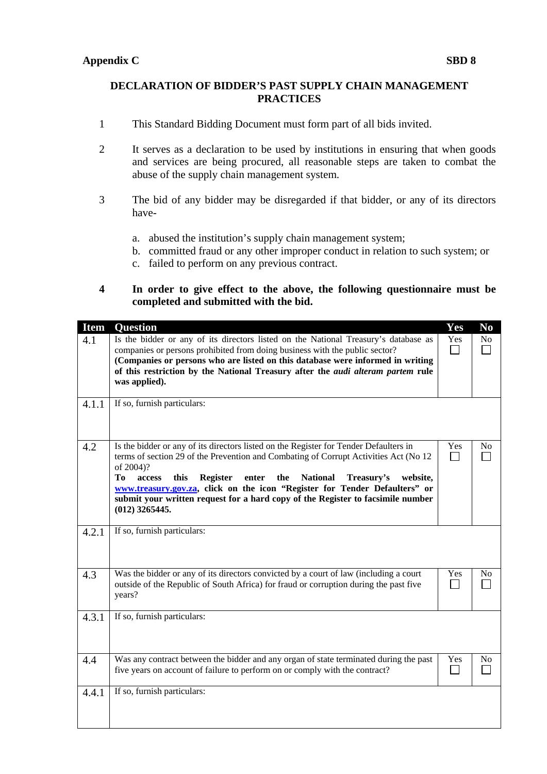## **DECLARATION OF BIDDER'S PAST SUPPLY CHAIN MANAGEMENT PRACTICES**

- 1 This Standard Bidding Document must form part of all bids invited.
- 2 It serves as a declaration to be used by institutions in ensuring that when goods and services are being procured, all reasonable steps are taken to combat the abuse of the supply chain management system.
- 3 The bid of any bidder may be disregarded if that bidder, or any of its directors have
	- a. abused the institution's supply chain management system;
	- b. committed fraud or any other improper conduct in relation to such system; or
	- c. failed to perform on any previous contract.

## **4 In order to give effect to the above, the following questionnaire must be completed and submitted with the bid.**

| <b>Item</b> | <b>Question</b>                                                                                                                                                                                                                                                                                                                                                                                                                                                                         | Yes                   | N <sub>0</sub>           |
|-------------|-----------------------------------------------------------------------------------------------------------------------------------------------------------------------------------------------------------------------------------------------------------------------------------------------------------------------------------------------------------------------------------------------------------------------------------------------------------------------------------------|-----------------------|--------------------------|
| 4.1         | Is the bidder or any of its directors listed on the National Treasury's database as<br>companies or persons prohibited from doing business with the public sector?<br>(Companies or persons who are listed on this database were informed in writing<br>of this restriction by the National Treasury after the <i>audi alteram partem</i> rule<br>was applied).                                                                                                                         | Yes                   | No                       |
| 4.1.1       | If so, furnish particulars:                                                                                                                                                                                                                                                                                                                                                                                                                                                             |                       |                          |
| 4.2         | Is the bidder or any of its directors listed on the Register for Tender Defaulters in<br>terms of section 29 of the Prevention and Combating of Corrupt Activities Act (No 12<br>of 2004)?<br>Tо<br>access<br>this<br><b>Register</b><br>enter<br>the<br><b>National</b><br>Treasury's<br>website,<br>www.treasury.gov.za, click on the icon "Register for Tender Defaulters" or<br>submit your written request for a hard copy of the Register to facsimile number<br>$(012)$ 3265445. | Yes                   | N <sub>0</sub>           |
| 4.2.1       | If so, furnish particulars:                                                                                                                                                                                                                                                                                                                                                                                                                                                             |                       |                          |
| 4.3         | Was the bidder or any of its directors convicted by a court of law (including a court<br>outside of the Republic of South Africa) for fraud or corruption during the past five<br>years?                                                                                                                                                                                                                                                                                                | Yes                   | No                       |
| 4.3.1       | If so, furnish particulars:                                                                                                                                                                                                                                                                                                                                                                                                                                                             |                       |                          |
| 4.4         | Was any contract between the bidder and any organ of state terminated during the past<br>five years on account of failure to perform on or comply with the contract?                                                                                                                                                                                                                                                                                                                    | Yes<br>$\blacksquare$ | N <sub>0</sub><br>$\sim$ |
| 4.4.1       | If so, furnish particulars:                                                                                                                                                                                                                                                                                                                                                                                                                                                             |                       |                          |